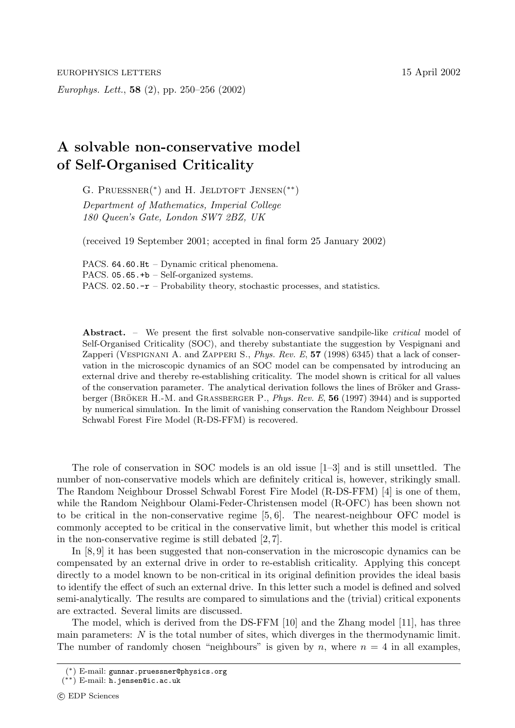Europhys. Lett., **58** (2), pp. 250–256 (2002)

## **A solvable non-conservative model of Self-Organised Criticality**

G. PRUESSNER(\*) and H. JELDTOFT JENSEN(\*\*) Department of Mathematics, Imperial College 180 Queen's Gate, London SW7 2BZ, UK

(received 19 September 2001; accepted in final form 25 January 2002)

PACS. 64.60.Ht – Dynamic critical phenomena. PACS.  $05.65.+b$  – Self-organized systems. PACS.  $02.50.-r$  – Probability theory, stochastic processes, and statistics.

Abstract. – We present the first solvable non-conservative sandpile-like *critical* model of Self-Organised Criticality (SOC), and thereby substantiate the suggestion by Vespignani and Zapperi (Vespignani A. and Zapperi S., Phys. Rev. E, **57** (1998) 6345) that a lack of conservation in the microscopic dynamics of an SOC model can be compensated by introducing an external drive and thereby re-establishing criticality. The model shown is critical for all values of the conservation parameter. The analytical derivation follows the lines of Bröker and Grassberger (BRÖKER H.-M. and GRASSBERGER P., *Phys. Rev. E*, 56 (1997) 3944) and is supported by numerical simulation. In the limit of vanishing conservation the Random Neighbour Drossel Schwabl Forest Fire Model (R-DS-FFM) is recovered.

The role of conservation in SOC models is an old issue [1–3] and is still unsettled. The number of non-conservative models which are definitely critical is, however, strikingly small. The Random Neighbour Drossel Schwabl Forest Fire Model (R-DS-FFM) [4] is one of them, while the Random Neighbour Olami-Feder-Christensen model (R-OFC) has been shown not to be critical in the non-conservative regime [5, 6]. The nearest-neighbour OFC model is commonly accepted to be critical in the conservative limit, but whether this model is critical in the non-conservative regime is still debated [2, 7].

In [8, 9] it has been suggested that non-conservation in the microscopic dynamics can be compensated by an external drive in order to re-establish criticality. Applying this concept directly to a model known to be non-critical in its original definition provides the ideal basis to identify the effect of such an external drive. In this letter such a model is defined and solved semi-analytically. The results are compared to simulations and the (trivial) critical exponents are extracted. Several limits are discussed.

The model, which is derived from the DS-FFM [10] and the Zhang model [11], has three main parameters:  $N$  is the total number of sites, which diverges in the thermodynamic limit. The number of randomly chosen "neighbours" is given by n, where  $n = 4$  in all examples,

<sup>(</sup>∗) E-mail: gunnar.pruessner@physics.org

<sup>(</sup>∗∗) E-mail: h.jensen@ic.ac.uk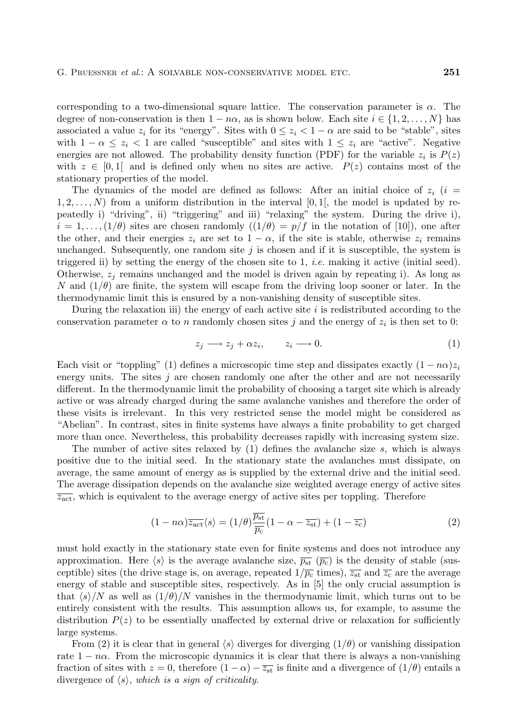corresponding to a two-dimensional square lattice. The conservation parameter is  $\alpha$ . The degree of non-conservation is then  $1 - n\alpha$ , as is shown below. Each site  $i \in \{1, 2, ..., N\}$  has associated a value  $z_i$  for its "energy". Sites with  $0 \leq z_i < 1 - \alpha$  are said to be "stable", sites with  $1 - \alpha \leq z_i < 1$  are called "susceptible" and sites with  $1 \leq z_i$  are "active". Negative energies are not allowed. The probability density function (PDF) for the variable  $z_i$  is  $P(z)$ with  $z \in [0,1]$  and is defined only when no sites are active.  $P(z)$  contains most of the stationary properties of the model.

The dynamics of the model are defined as follows: After an initial choice of  $z_i$  (i =  $1, 2, \ldots, N$  from a uniform distribution in the interval [0, 1], the model is updated by repeatedly i) "driving", ii) "triggering" and iii) "relaxing" the system. During the drive i),  $i = 1, \ldots, (1/\theta)$  sites are chosen randomly  $((1/\theta) = p/f$  in the notation of [10]), one after the other, and their energies  $z_i$  are set to  $1 - \alpha$ , if the site is stable, otherwise  $z_i$  remains unchanged. Subsequently, one random site  $j$  is chosen and if it is susceptible, the system is triggered ii) by setting the energy of the chosen site to 1, *i.e.* making it active (initial seed). Otherwise,  $z_j$  remains unchanged and the model is driven again by repeating i). As long as N and  $(1/\theta)$  are finite, the system will escape from the driving loop sooner or later. In the thermodynamic limit this is ensured by a non-vanishing density of susceptible sites.

During the relaxation iii) the energy of each active site  $i$  is redistributed according to the conservation parameter  $\alpha$  to n randomly chosen sites j and the energy of  $z_i$  is then set to 0:

$$
z_j \longrightarrow z_j + \alpha z_i, \qquad z_i \longrightarrow 0. \tag{1}
$$

Each visit or "toppling" (1) defines a microscopic time step and dissipates exactly  $(1 - n\alpha)z_i$ energy units. The sites  $j$  are chosen randomly one after the other and are not necessarily different. In the thermodynamic limit the probability of choosing a target site which is already active or was already charged during the same avalanche vanishes and therefore the order of these visits is irrelevant. In this very restricted sense the model might be considered as "Abelian". In contrast, sites in finite systems have always a finite probability to get charged more than once. Nevertheless, this probability decreases rapidly with increasing system size.

The number of active sites relaxed by  $(1)$  defines the avalanche size s, which is always positive due to the initial seed. In the stationary state the avalanches must dissipate, on average, the same amount of energy as is supplied by the external drive and the initial seed. The average dissipation depends on the avalanche size weighted average energy of active sites  $\overline{z_{\text{act}}}$ , which is equivalent to the average energy of active sites per toppling. Therefore

$$
(1 - n\alpha)\overline{z_{\rm act}}\langle s \rangle = (1/\theta)\frac{\overline{p_{\rm st}}}{\overline{p_{\rm c}}}(1 - \alpha - \overline{z_{\rm st}}) + (1 - \overline{z_{\rm c}})
$$
(2)

must hold exactly in the stationary state even for finite systems and does not introduce any approximation. Here  $\langle s \rangle$  is the average avalanche size,  $\overline{p_{st}}$  ( $\overline{p_c}$ ) is the density of stable (susceptible) sites (the drive stage is, on average, repeated  $1/\overline{p_c}$  times),  $\overline{z_{st}}$  and  $\overline{z_c}$  are the average energy of stable and susceptible sites, respectively. As in [5] the only crucial assumption is that  $\langle s \rangle/N$  as well as  $(1/\theta)/N$  vanishes in the thermodynamic limit, which turns out to be entirely consistent with the results. This assumption allows us, for example, to assume the distribution  $P(z)$  to be essentially unaffected by external drive or relaxation for sufficiently large systems.

From (2) it is clear that in general  $\langle s \rangle$  diverges for diverging  $(1/\theta)$  or vanishing dissipation rate  $1 - n\alpha$ . From the microscopic dynamics it is clear that there is always a non-vanishing fraction of sites with  $z = 0$ , therefore  $(1 - \alpha) - \overline{z_{st}}$  is finite and a divergence of  $(1/\theta)$  entails a divergence of  $\langle s \rangle$ , which is a sign of criticality.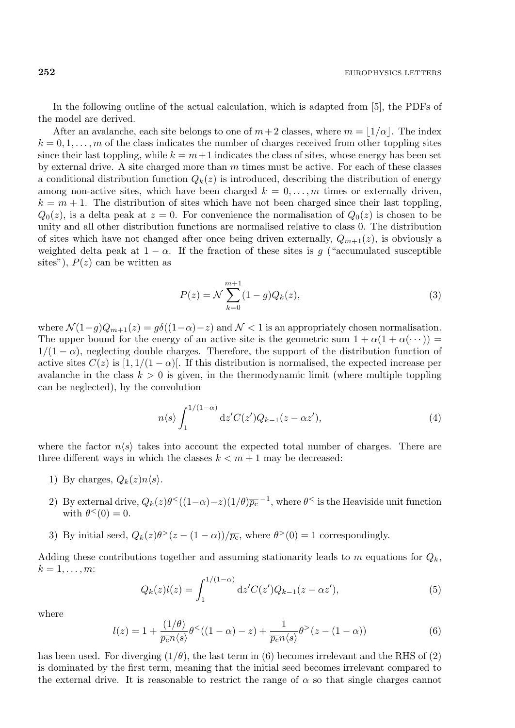In the following outline of the actual calculation, which is adapted from [5], the PDFs of the model are derived.

After an avalanche, each site belongs to one of  $m+2$  classes, where  $m = |1/\alpha|$ . The index  $k = 0, 1, \ldots, m$  of the class indicates the number of charges received from other toppling sites since their last toppling, while  $k = m+1$  indicates the class of sites, whose energy has been set by external drive. A site charged more than  $m$  times must be active. For each of these classes a conditional distribution function  $Q_k(z)$  is introduced, describing the distribution of energy among non-active sites, which have been charged  $k = 0, \ldots, m$  times or externally driven,  $k = m + 1$ . The distribution of sites which have not been charged since their last toppling,  $Q_0(z)$ , is a delta peak at  $z = 0$ . For convenience the normalisation of  $Q_0(z)$  is chosen to be unity and all other distribution functions are normalised relative to class 0. The distribution of sites which have not changed after once being driven externally,  $Q_{m+1}(z)$ , is obviously a weighted delta peak at  $1 - \alpha$ . If the fraction of these sites is g ("accumulated susceptible sites"),  $P(z)$  can be written as

$$
P(z) = \mathcal{N} \sum_{k=0}^{m+1} (1 - g) Q_k(z), \tag{3}
$$

where  $\mathcal{N}(1-g)Q_{m+1}(z) = g\delta((1-\alpha)-z)$  and  $\mathcal{N} < 1$  is an appropriately chosen normalisation. The upper bound for the energy of an active site is the geometric sum  $1 + \alpha(1 + \alpha(\cdots)) =$  $1/(1 - \alpha)$ , neglecting double charges. Therefore, the support of the distribution function of active sites  $C(z)$  is  $[1, 1/(1-\alpha)]$ . If this distribution is normalised, the expected increase per avalanche in the class  $k > 0$  is given, in the thermodynamic limit (where multiple toppling can be neglected), by the convolution

$$
n\langle s \rangle \int_{1}^{1/(1-\alpha)} \mathrm{d}z' C(z') Q_{k-1}(z - \alpha z'),\tag{4}
$$

where the factor  $n\langle s \rangle$  takes into account the expected total number of charges. There are three different ways in which the classes  $k < m + 1$  may be decreased:

- 1) By charges,  $Q_k(z)n\langle s\rangle$ .
- 2) By external drive,  $Q_k(z)\theta^<((1-\alpha)-z)(1/\theta)\overline{p_c}^{-1}$ , where  $\theta^<$  is the Heaviside unit function with  $\theta^{\lt}(0) = 0$ .
- 3) By initial seed,  $Q_k(z)\theta^>(z-(1-\alpha))/\overline{p_c}$ , where  $\theta^>(0)=1$  correspondingly.

Adding these contributions together and assuming stationarity leads to m equations for  $Q_k$ ,  $k=1,\ldots,m$ :

$$
Q_k(z)l(z) = \int_1^{1/(1-\alpha)} dz' C(z')Q_{k-1}(z-\alpha z'),\tag{5}
$$

where

$$
l(z) = 1 + \frac{(1/\theta)}{\overline{p_c}n\langle s \rangle} \theta^{<}((1 - \alpha) - z) + \frac{1}{\overline{p_c}n\langle s \rangle} \theta^{>}(z - (1 - \alpha))
$$
 (6)

has been used. For diverging  $(1/\theta)$ , the last term in (6) becomes irrelevant and the RHS of (2) is dominated by the first term, meaning that the initial seed becomes irrelevant compared to the external drive. It is reasonable to restrict the range of  $\alpha$  so that single charges cannot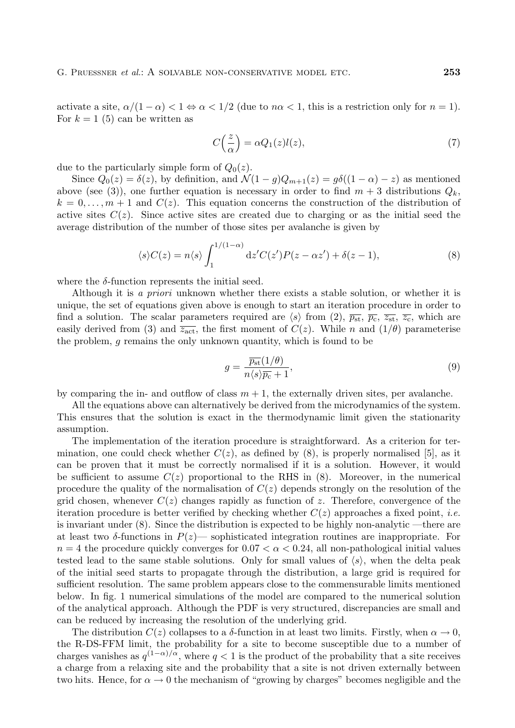activate a site,  $\alpha/(1-\alpha) < 1 \Leftrightarrow \alpha < 1/2$  (due to  $n\alpha < 1$ , this is a restriction only for  $n = 1$ ). For  $k = 1$  (5) can be written as

$$
C\left(\frac{z}{\alpha}\right) = \alpha Q_1(z)l(z),\tag{7}
$$

due to the particularly simple form of  $Q_0(z)$ .

Since  $Q_0(z) = \delta(z)$ , by definition, and  $\mathcal{N}(1 - g)Q_{m+1}(z) = g\delta((1 - \alpha) - z)$  as mentioned above (see (3)), one further equation is necessary in order to find  $m + 3$  distributions  $Q_k$ ,  $k = 0, \ldots, m + 1$  and  $C(z)$ . This equation concerns the construction of the distribution of active sites  $C(z)$ . Since active sites are created due to charging or as the initial seed the average distribution of the number of those sites per avalanche is given by

$$
\langle s \rangle C(z) = n \langle s \rangle \int_1^{1/(1-\alpha)} dz' C(z') P(z - \alpha z') + \delta(z - 1), \tag{8}
$$

where the  $\delta$ -function represents the initial seed.

Although it is a priori unknown whether there exists a stable solution, or whether it is unique, the set of equations given above is enough to start an iteration procedure in order to find a solution. The scalar parameters required are  $\langle s \rangle$  from (2),  $\overline{p_{st}}, \overline{p_c}, \overline{z_{st}}, \overline{z_c}$ , which are easily derived from (3) and  $\overline{z_{\rm act}}$ , the first moment of  $C(z)$ . While n and  $(1/\theta)$  parameterise the problem, g remains the only unknown quantity, which is found to be

$$
g = \frac{\overline{p_{\rm st}}(1/\theta)}{n\langle s \rangle \overline{p_{\rm c}} + 1},\tag{9}
$$

by comparing the in- and outflow of class  $m + 1$ , the externally driven sites, per avalanche.

All the equations above can alternatively be derived from the microdynamics of the system. This ensures that the solution is exact in the thermodynamic limit given the stationarity assumption.

The implementation of the iteration procedure is straightforward. As a criterion for termination, one could check whether  $C(z)$ , as defined by (8), is properly normalised [5], as it can be proven that it must be correctly normalised if it is a solution. However, it would be sufficient to assume  $C(z)$  proportional to the RHS in  $(8)$ . Moreover, in the numerical procedure the quality of the normalisation of  $C(z)$  depends strongly on the resolution of the grid chosen, whenever  $C(z)$  changes rapidly as function of z. Therefore, convergence of the iteration procedure is better verified by checking whether  $C(z)$  approaches a fixed point, *i.e.* is invariant under (8). Since the distribution is expected to be highly non-analytic —there are at least two  $\delta$ -functions in  $P(z)$ — sophisticated integration routines are inappropriate. For  $n = 4$  the procedure quickly converges for  $0.07 < \alpha < 0.24$ , all non-pathological initial values tested lead to the same stable solutions. Only for small values of  $\langle s \rangle$ , when the delta peak of the initial seed starts to propagate through the distribution, a large grid is required for sufficient resolution. The same problem appears close to the commensurable limits mentioned below. In fig. 1 numerical simulations of the model are compared to the numerical solution of the analytical approach. Although the PDF is very structured, discrepancies are small and can be reduced by increasing the resolution of the underlying grid.

The distribution  $C(z)$  collapses to a  $\delta$ -function in at least two limits. Firstly, when  $\alpha \to 0$ , the R-DS-FFM limit, the probability for a site to become susceptible due to a number of charges vanishes as  $q^{(1-\alpha)/\alpha}$ , where  $q < 1$  is the product of the probability that a site receives a charge from a relaxing site and the probability that a site is not driven externally between two hits. Hence, for  $\alpha \to 0$  the mechanism of "growing by charges" becomes negligible and the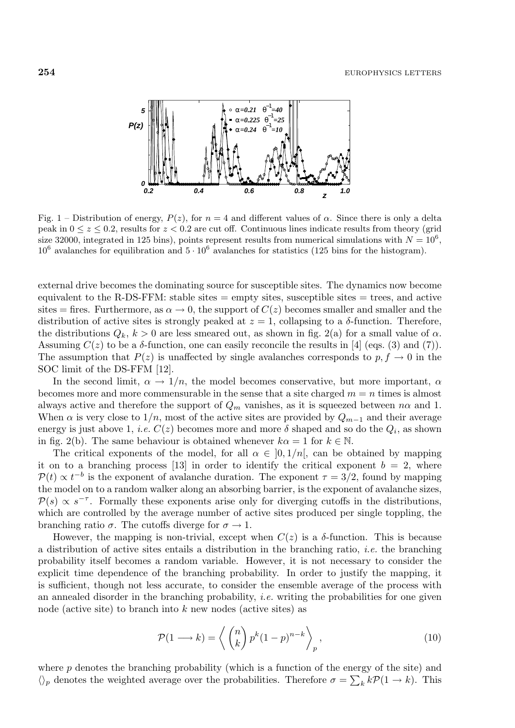

Fig. 1 – Distribution of energy,  $P(z)$ , for  $n = 4$  and different values of  $\alpha$ . Since there is only a delta peak in  $0 \le z \le 0.2$ , results for  $z < 0.2$  are cut off. Continuous lines indicate results from theory (grid size 32000, integrated in 125 bins), points represent results from numerical simulations with  $N = 10^6$ ,  $10^6$  avalanches for equilibration and  $5 \cdot 10^6$  avalanches for statistics (125 bins for the histogram).

external drive becomes the dominating source for susceptible sites. The dynamics now become equivalent to the R-DS-FFM: stable sites  $=$  empty sites, susceptible sites  $=$  trees, and active sites = fires. Furthermore, as  $\alpha \to 0$ , the support of  $C(z)$  becomes smaller and smaller and the distribution of active sites is strongly peaked at  $z = 1$ , collapsing to a  $\delta$ -function. Therefore, the distributions  $Q_k$ ,  $k > 0$  are less smeared out, as shown in fig. 2(a) for a small value of  $\alpha$ . Assuming  $C(z)$  to be a  $\delta$ -function, one can easily reconcile the results in [4] (eqs. (3) and (7)). The assumption that  $P(z)$  is unaffected by single avalanches corresponds to  $p, f \rightarrow 0$  in the SOC limit of the DS-FFM [12].

In the second limit,  $\alpha \to 1/n$ , the model becomes conservative, but more important,  $\alpha$ becomes more and more commensurable in the sense that a site charged  $m = n$  times is almost always active and therefore the support of  $Q_m$  vanishes, as it is squeezed between  $n\alpha$  and 1. When  $\alpha$  is very close to 1/n, most of the active sites are provided by  $Q_{m-1}$  and their average energy is just above 1, *i.e.*  $C(z)$  becomes more and more  $\delta$  shaped and so do the  $Q_i$ , as shown in fig. 2(b). The same behaviour is obtained whenever  $k\alpha = 1$  for  $k \in \mathbb{N}$ .

The critical exponents of the model, for all  $\alpha \in [0, 1/n]$ , can be obtained by mapping it on to a branching process [13] in order to identify the critical exponent  $b = 2$ , where  $\mathcal{P}(t) \propto t^{-b}$  is the exponent of avalanche duration. The exponent  $\tau = 3/2$ , found by mapping<br>the model on to a random walker along an absorbing barrier, is the exponent of avalanche sizes the model on to a random walker along an absorbing barrier, is the exponent of avalanche sizes,  $P(s) \propto s^{-\tau}$ . Formally these exponents arise only for diverging cutoffs in the distributions, which are controlled by the average number of active sites produced per single toppling, the branching ratio  $\sigma$ . The cutoffs diverge for  $\sigma \to 1$ .

However, the mapping is non-trivial, except when  $C(z)$  is a  $\delta$ -function. This is because a distribution of active sites entails a distribution in the branching ratio, *i.e.* the branching probability itself becomes a random variable. However, it is not necessary to consider the explicit time dependence of the branching probability. In order to justify the mapping, it is sufficient, though not less accurate, to consider the ensemble average of the process with an annealed disorder in the branching probability, *i.e.* writing the probabilities for one given node (active site) to branch into  $k$  new nodes (active sites) as

$$
\mathcal{P}(1 \longrightarrow k) = \left\langle \binom{n}{k} p^k (1-p)^{n-k} \right\rangle_p, \tag{10}
$$

where  $p$  denotes the branching probability (which is a function of the energy of the site) and  $\langle \rangle_p$  denotes the weighted average over the probabilities. Therefore  $\sigma = \sum_k k \mathcal{P}(1 \to k)$ . This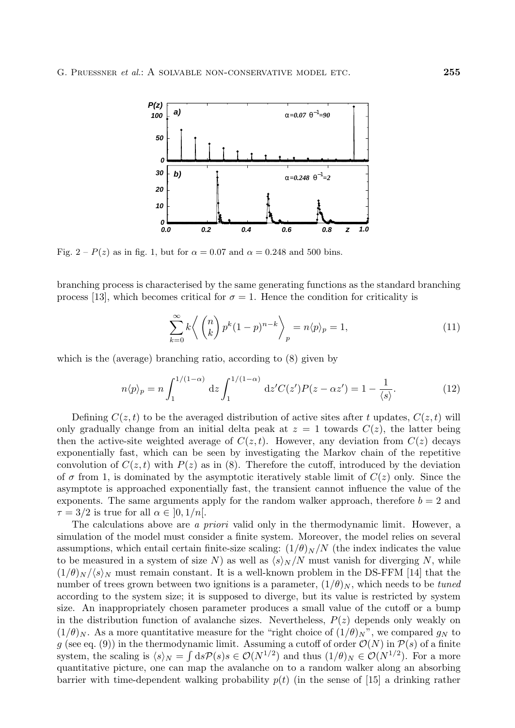

Fig.  $2 - P(z)$  as in fig. 1, but for  $\alpha = 0.07$  and  $\alpha = 0.248$  and 500 bins.

branching process is characterised by the same generating functions as the standard branching process [13], which becomes critical for  $\sigma = 1$ . Hence the condition for criticality is

$$
\sum_{k=0}^{\infty} k \left\langle \binom{n}{k} p^k (1-p)^{n-k} \right\rangle_p = n \langle p \rangle_p = 1,\tag{11}
$$

which is the (average) branching ratio, according to (8) given by

$$
n\langle p \rangle_p = n \int_1^{1/(1-\alpha)} dz \int_1^{1/(1-\alpha)} dz' C(z') P(z - \alpha z') = 1 - \frac{1}{\langle s \rangle}.
$$
 (12)

Defining  $C(z, t)$  to be the averaged distribution of active sites after t updates,  $C(z, t)$  will only gradually change from an initial delta peak at  $z = 1$  towards  $C(z)$ , the latter being then the active-site weighted average of  $C(z, t)$ . However, any deviation from  $C(z)$  decays exponentially fast, which can be seen by investigating the Markov chain of the repetitive convolution of  $C(z, t)$  with  $P(z)$  as in (8). Therefore the cutoff, introduced by the deviation of  $\sigma$  from 1, is dominated by the asymptotic iteratively stable limit of  $C(z)$  only. Since the asymptote is approached exponentially fast, the transient cannot influence the value of the exponents. The same arguments apply for the random walker approach, therefore  $b = 2$  and  $\tau = 3/2$  is true for all  $\alpha \in [0, 1/n]$ .

The calculations above are a *priori* valid only in the thermodynamic limit. However, a simulation of the model must consider a finite system. Moreover, the model relies on several assumptions, which entail certain finite-size scaling:  $(1/\theta)_N/N$  (the index indicates the value to be measured in a system of size N) as well as  $\langle s \rangle_N /N$  must vanish for diverging N, while  $(1/\theta)_N / \langle s \rangle_N$  must remain constant. It is a well-known problem in the DS-FFM [14] that the number of trees grown between two ignitions is a parameter,  $(1/\theta)_N$ , which needs to be tuned according to the system size; it is supposed to diverge, but its value is restricted by system size. An inappropriately chosen parameter produces a small value of the cutoff or a bump in the distribution function of avalanche sizes. Nevertheless,  $P(z)$  depends only weakly on  $(1/\theta)_N$ . As a more quantitative measure for the "right choice of  $(1/\theta)_N$ ", we compared  $g_N$  to g (see eq. (9)) in the thermodynamic limit. Assuming a cutoff of order  $\mathcal{O}(N)$  in  $\mathcal{P}(s)$  of a finite system, the scaling is  $\langle s \rangle_N = \int ds \mathcal{P}(s) s \in \mathcal{O}(N^{1/2})$  and thus  $(1/\theta)_N \in \mathcal{O}(N^{1/2})$ . For a more containing picture, one can map the avalance on to a random walker along an absorbing quantitative picture, one can map the avalanche on to a random walker along an absorbing barrier with time-dependent walking probability  $p(t)$  (in the sense of [15] a drinking rather